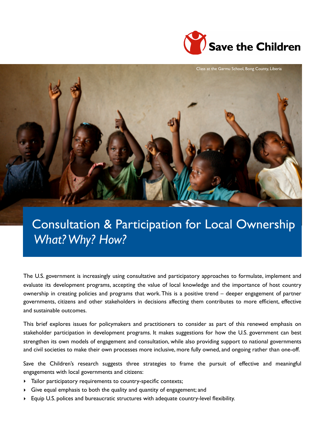



# Consultation & Participation for Local Ownership  *What? Why? How?*

The U.S. government is increasingly using consultative and participatory approaches to formulate, implement and evaluate its development programs, accepting the value of local knowledge and the importance of host country ownership in creating policies and programs that work. This is a positive trend – deeper engagement of partner governments, citizens and other stakeholders in decisions affecting them contributes to more efficient, effective and sustainable outcomes.

This brief explores issues for policymakers and practitioners to consider as part of this renewed emphasis on stakeholder participation in development programs. It makes suggestions for how the U.S. government can best strengthen its own models of engagement and consultation, while also providing support to national governments and civil societies to make their own processes more inclusive, more fully owned, and ongoing rather than one-off.

Save the Children's research suggests three strategies to frame the pursuit of effective and meaningful engagements with local governments and citizens:

- ‣ Tailor participatory requirements to country-specific contexts;
- ‣ Give equal emphasis to both the quality and quantity of engagement; and
- ‣ Equip U.S. polices and bureaucratic structures with adequate country-level flexibility.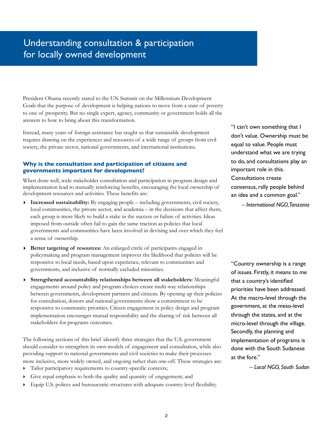# Understanding consultation & participation for locally owned development

President Obama recently stated to the UN Summit on the Millennium Development Goals that the purpose of development is helping nations to move from a state of poverty to one of prosperity. But no single expert, agency, community or government holds all the answers to how to bring about this transformation.

Instead, many years of foreign assistance has taught us that sustainable development requires drawing on the experiences and resources of a wide range of groups from civil society, the private sector, national governments, and international institutions.

#### **Why is the consultation and participation of citizens and governments important for development?**

When done well, wide stakeholder consultation and participation in program design and implementation lead to mutually reinforcing benefits, encouraging the local ownership of development resources and activities. These benefits are:

- **‣ Increased sustainability:** By engaging people including governments, civil society, local communities, the private sector, and academia – in the decisions that affect them, each group is more likely to build a stake in the success or failure of activities. Ideas imposed from outside often fail to gain the same traction as policies that local governments and communities have been involved in devising and over which they feel a sense of ownership.
- **‣ Better targeting of resources:** An enlarged circle of participants engaged in policymaking and program management improves the likelihood that policies will be responsive to local needs, based upon experience, relevant to communities and governments, and inclusive of normally excluded minorities.
- **‣ Strengthened accountability relationships between all stakeholders:** Meaningful engagements around policy and program choices create multi-way relationships between governments, development partners and citizens. By opening up their policies for consultation, donors and national governments show a commitment to be responsive to community priorities. Citizen engagement in policy design and program implementation encourages mutual responsibility and the sharing of risk between all stakeholders for programs outcomes.

The following sections of this brief identify three strategies that the U.S. government should consider to strengthen its own models of engagement and consultation, while also providing support to national governments and civil societies to make their processes more inclusive, more widely owned, and ongoing rather than one-off. These strategies are:

- ‣ Tailor participatory requirements to country-specific contexts;
- ‣ Give equal emphasis to both the quality and quantity of engagement; and
- ‣ Equip U.S. polices and bureaucratic structures with adequate country-level flexibility.

"I can't own something that I don't value. Ownership must be equal to value. People must understand what we are trying to do, and consultations play an important role in this. Consultations create consensus, rally people behind an idea and a common goal."

– *International NGO, Tanzania*

"Country ownership is a range of issues. Firstly, it means to me that a country's identified priorities have been addressed. At the macro-level through the government, at the meso-level through the states, and at the micro-level through the village. Secondly, the planning and implementation of programs is done with the South Sudanese at the fore."

– *Local NGO, South Sudan*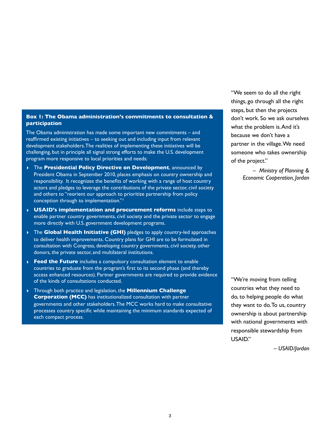#### **Box 1: The Obama administration's commitments to consultation & participation**

The Obama administration has made some important new commitments – and reaffirmed existing initiatives – to seeking out and including input from relevant development stakeholders. The realities of implementing these initiatives will be challenging, but in principle all signal strong efforts to make the U.S. development program more responsive to local priorities and needs:

- **‣** The **Presidential Policy Directive on Development**, announced by President Obama in September 2010, places emphasis on country ownership and responsibility. It recognizes the benefits of working with a range of host country actors and pledges to leverage the contributions of the private sector, civil society and others to "reorient our approach to prioritize partnership from policy conception through to implementation."<sup>1</sup>
- **‣ USAID's implementation and procurement reforms** include steps to enable partner country governments, civil society and the private sector to engage more directly with U.S. government development programs.
- **‣** The **Global Health Initiative (GHI)** pledges to apply country-led approaches to deliver health improvements. Country plans for GHI are to be formulated in consultation with Congress, developing country governments, civil society, other donors, the private sector, and multilateral institutions.
- **‣ Feed the Future** includes a compulsory consultation element to enable countries to graduate from the program's first to its second phase (and thereby access enhanced resources). Partner governments are required to provide evidence of the kinds of consultations conducted.
- **‣** Through both practice and legislation, the **Millennium Challenge Corporation (MCC)** has institutionalized consultation with partner governments and other stakeholders. The MCC works hard to make consultative processes country specific while maintaining the minimum standards expected of each compact process.

"We seem to do all the right things, go through all the right steps, but then the projects don't work. So we ask ourselves what the problem is. And it's because we don't have a partner in the village. We need someone who takes ownership of the project."

> – *Ministry of Planning & Economic Cooperation, Jordan*

"We're moving from telling countries what they need to do, to helping people do what they want to do. To us, country ownership is about partnership with national governments with responsible stewardship from USAID."

*– USAID/Jordan*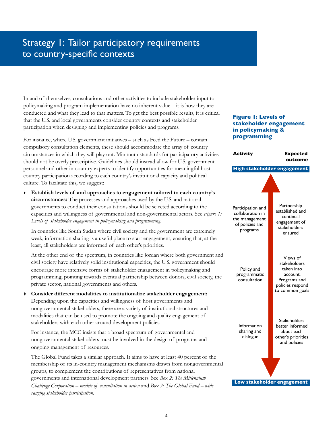# Strategy 1: Tailor participatory requirements to country-specific contexts

In and of themselves, consultations and other activities to include stakeholder input to policymaking and program implementation have no inherent value – it is how they are conducted and what they lead to that matters. To get the best possible results, it is critical that the U.S. and local governments consider country contexts and stakeholder participation when designing and implementing policies and programs.

For instance, where U.S. government initiatives – such as Feed the Future – contain compulsory consultation elements, these should accommodate the array of country circumstances in which they will play out. Minimum standards for participatory activities should not be overly prescriptive. Guidelines should instead allow for U.S. government personnel and other in-country experts to identify opportunities for meaningful host country participation according to each country's institutional capacity and political culture. To facilitate this, we suggest:

‣ **Establish levels of and approaches to engagement tailored to each country's circumstances:** The processes and approaches used by the U.S. and national governments to conduct their consultations should be selected according to the capacities and willingness of governmental and non-governmental actors. See *Figure 1: Levels of stakeholder engagement in policymaking and programming*.

In countries like South Sudan where civil society and the government are extremely weak, information sharing is a useful place to start engagement, ensuring that, at the least, all stakeholders are informed of each other's priorities.

At the other end of the spectrum, in countries like Jordan where both government and civil society have relatively solid institutional capacities, the U.S. government should encourage more intensive forms of stakeholder engagement in policymaking and programming, pointing towards eventual partnership between donors, civil society, the private sector, national governments and others.

**‣ Consider different modalities to institutionalize stakeholder engagement:**  Depending upon the capacities and willingness of host governments and nongovernmental stakeholders, there are a variety of institutional structures and modalities that can be used to promote the ongoing and quality engagement of stakeholders with each other around development policies.

For instance, the MCC insists that a broad spectrum of governmental and nongovernmental stakeholders must be involved in the design of programs and ongoing management of resources.

The Global Fund takes a similar approach. It aims to have at least 40 percent of the membership of its in-country management mechanisms drawn from nongovernmental groups, to complement the contributions of representatives from national governments and international development partners. See *Box 2: The Millennium Challenge Corporation – models of consultation in action* and *Box 3: The Global Fund – wide ranging stakeholder participation.*

### **Figure 1: Levels of stakeholder engagement in policymaking & programming**

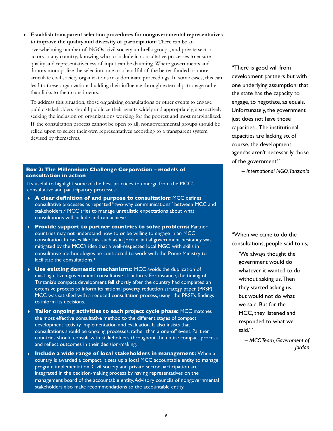**‣ Establish transparent selection procedures for nongovernmental representatives to improve the quality and diversity of participation:** There can be an overwhelming number of NGOs, civil society umbrella groups, and private sector actors in any country; knowing who to include in consultative processes to ensure quality and representativeness of input can be daunting. Where governments and donors monopolize the selection, one or a handful of the better funded or more articulate civil society organizations may dominate proceedings. In some cases, this can lead to these organizations building their influence through external patronage rather than links to their constituents.

To address this situation, those organizing consultations or other events to engage public stakeholders should publicize their events widely and appropriately, also actively seeking the inclusion of organizations working for the poorest and most marginalized. If the consultation process cannot be open to all, nongovernmental groups should be relied upon to select their own representatives according to a transparent system devised by themselves.

#### **Box 2: The Millennium Challenge Corporation – models of consultation in action**

It's useful to highlight some of the best practices to emerge from the MCC's consultative and participatory processes:

- **‣ A clear definition of and purpose to consultation:** MCC defines consultative processes as repeated "two-way communications" between MCC and stakeholders.² MCC tries to manage unrealistic expectations about what consultations will include and can achieve.
- **‣ Provide support to partner countries to solve problems:** Partner countries may not understand how to or be willing to engage in an MCC consultation. In cases like this, such as in Jordan, initial government hesitancy was mitigated by the MCC's idea that a well-respected local NGO with skills in consultative methodologies be contracted to work with the Prime Ministry to facilitate the consultations.<sup>3</sup>
- **‣ Use existing domestic mechanisms:** MCC avoids the duplication of existing citizen-government consultative structures. For instance, the timing of Tanzania's compact development fell shortly after the country had completed an extensive process to inform its national poverty reduction strategy paper (PRSP). MCC was satisfied with a reduced consultation process, using the PRSP's findings to inform its decisions.
- **‣ Tailor ongoing activities to each project cycle phase:** MCC matches the most effective consultative method to the different stages of compact development, activity implementation and evaluation. It also insists that consultations should be ongoing processes, rather than a one-off event. Partner countries should consult with stakeholders throughout the entire compact process and reflect outcomes in their decision-making.
- **‣ Include a wide range of local stakeholders in management:** When a country is awarded a compact, it sets up a local MCC accountable entity to manage program implementation. Civil society and private sector participation are integrated in the decision-making process by having representatives on the management board of the accountable entity. Advisory councils of nongovernmental stakeholders also make recommendations to the accountable entity.

"There is good will from development partners but with one underlying assumption: that the state has the capacity to engage, to negotiate, as equals. Unfortunately, the government just does not have those capacities... The institutional capacities are lacking so, of course, the development agendas aren't necessarily those of the government."

– *International NGO, Tanzania*

"When we came to do the consultations, people said to us,

'We always thought the government would do whatever it wanted to do without asking us. Then they started asking us, but would not do what we said. But for the MCC, they listened and responded to what we said."

– *MCC Team, Government of Jordan*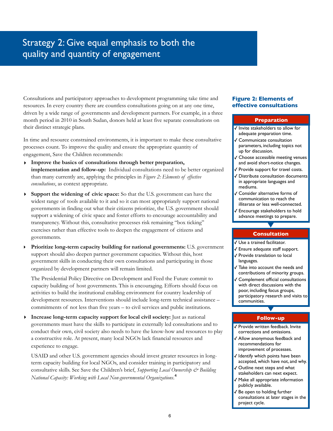### Strategy 2: Give equal emphasis to both the quality and quantity of engagement

Consultations and participatory approaches to development programming take time and resources. In every country there are countless consultations going on at any one time, driven by a wide range of governments and development partners. For example, in a three month period in 2010 in South Sudan, donors held at least five separate consultations on their distinct strategic plans.

In time and resource constrained environments, it is important to make these consultative processes count. To improve the quality and ensure the appropriate quantity of engagement, Save the Children recommends:

- **‣ Improve the basics of consultations through better preparation, implementation and follow-up:** Individual consultations need to be better organized than many currently are, applying the principles in *Figure 2: Elements of effective consultations*, as context appropriate.
- **‣ Support the widening of civic space:** So that the U.S. government can have the widest range of tools available to it and so it can most appropriately support national governments in finding out what their citizens prioritize, the U.S. government should support a widening of civic space and foster efforts to encourage accountability and transparency. Without this, consultative processes risk remaining "box ticking" exercises rather than effective tools to deepen the engagement of citizens and governments.
- ‣ **Prioritize long-term capacity building for national governments:** U.S. government support should also deepen partner government capacities. Without this, host government skills in conducting their own consultations and participating in those organized by development partners will remain limited.

The Presidential Policy Directive on Development and Feed the Future commit to capacity building of host governments. This is encouraging. Efforts should focus on activities to build the institutional enabling environment for country leadership of development resources. Interventions should include long-term technical assistance – commitments of not less than five years – to civil services and public institutions.

**‣ Increase long-term capacity support for local civil society:** Just as national governments must have the skills to participate in externally led consultations and to conduct their own, civil society also needs to have the know-how and resources to play a constructive role. At present, many local NGOs lack financial resources and experience to engage.

USAID and other U.S. government agencies should invest greater resources in longterm capacity building for local NGOs, and consider training in participatory and consultative skills. See Save the Children's brief, *Supporting Local Ownership & Building National Capacity: Working with Local Non-governmental Organizations*.⁴

#### **Figure 2: Elements of effective consultations**

#### **Preparation**

- ✓ Invite stakeholders to allow for adequate preparation time.
- ✓ Communicate consultation parameters, including topics not up for discussion.
- ✓ Choose accessible meeting venues and avoid short-notice changes.
- ✓ Provide support for travel costs.
- ✓ Distribute consultation documents in appropriate languages and mediums.
- ✓ Consider alternative forms of communication to reach the illiterate or less well-connected.
- ✓ Encourage stakeholders to hold advance meetings to prepare.

### **Consultation**

- ✓ Use a trained facilitator.
- ✓ Ensure adequate staff support.
- ✓ Provide translation to local languages.
- ✓ Take into account the needs and contributions of minority groups.
- ✓ Complement official consultations with direct discussions with the poor, including focus groups, participatory research and visits to communities.

### **Follow-up**

- ✓ Provide written feedback. Invite corrections and omissions.
- ✓ Allow anonymous feedback and recommendations for improvement of processes.
- ✓ Identify which points have been accepted, which have not, and why.
- Outline next steps and what stakeholders can next expect.
- ✓ Make all appropriate information publicly available.
- ✓ Be open to holding further consultations at later stages in the project cycle.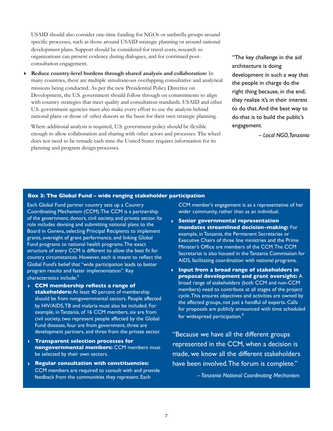USAID should also consider one-time funding for NGOs or umbrella groups around specific processes, such as those around USAID strategic planning or around national development plans. Support should be considered for travel costs, research so organizations can present evidence during dialogues, and for continued postconsultation engagement.

**‣ Reduce country-level burdens through shared analysis and collaboration:** In many countries, there are multiple simultaneous overlapping consultative and analytical missions being conducted. As per the new Presidential Policy Directive on Development, the U.S. government should follow through on commitments to align with country strategies that meet quality and consultation standards. USAID and other U.S. government agencies must also make every effort to use the analysis behind national plans or those of other donors as the basis for their own strategic planning.

Where additional analysis is required, U.S. government policy should be flexible enough to allow collaboration and sharing with other actors and processes. The wheel does not need to be remade each time the United States requires information for its planning and program design processes.

"The key challenge in the aid architecture is doing development in such a way that the people in charge do the right thing because, in the end, they realize it's in their interest to do that. And the best way to do that is to build the public's engagement.

– *Local NGO, Tanzania*

#### **Box 3: The Global Fund – wide ranging stakeholder participation**

Each Global Fund partner country sets up a Country Coordinating Mechanism (CCM). The CCM is a partnership of the government, donors, civil society, and private sector. Its role includes devising and submitting national plans to the Board in Geneva, selecting Principal Recipients to implement grants, oversight of grant performance, and linking Global Fund programs to national health programs. The exact structure of every CCM is different to allow the best fit for country circumstances. However, each is meant to reflect the Global Fund's belief that "wide participation leads to better program results and faster implementation". Key characteristics include:<sup>5</sup>

- **‣ CCM membership reflects a range of stakeholders:** At least 40 percent of membership should be from nongovernmental sectors. People affected by HIV/AIDS, TB and malaria must also be included. For example, in Tanzania, of 16 CCM members, six are from civil society, two represent people affected by the Global Fund diseases, four are from government, three are development partners, and three from the private sector.
- **‣ Transparent selection processes for nongovernmental members:** CCM members must be selected by their own sectors.
- **‣ Regular consultation with constituencies:**  CCM members are required to consult with and provide feedback from the communities they represent. Each

CCM member's engagement is as a representative of her wider community, rather than as an individual.

- **‣ Senior governmental representation mandates streamlined decision-making:** For example, in Tanzania, the Permanent Secretaries or Executive Chairs of three line ministries and the Prime Minister's Office are members of the CCM. The CCM Secretariat is also housed in the Tanzania Commission for AIDS, facilitating coordination with national programs.
- **‣ Input from a broad range of stakeholders in proposal development and grant oversight:** A broad range of stakeholders (both CCM and non-CCM members) need to contribute at all stages of the project cycle. This ensures objectives and activities are owned by the affected groups, not just a handful of experts. Calls for proposals are publicly announced with time scheduled for widespread participation.<sup>6</sup>

"Because we have all the different groups represented in the CCM, when a decision is made, we know all the different stakeholders have been involved. The forum is complete."

*– Tanzania National Coordinating Mechanism*